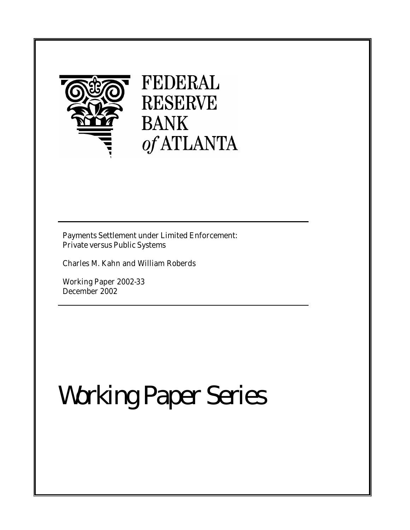

## FEDERAL **RESERVE BANK**  $of$ ATLANTA

**Payments Settlement under Limited Enforcement: Private versus Public Systems** 

Charles M. Kahn and William Roberds

Working Paper 2002-33 December 2002

# Working Paper Series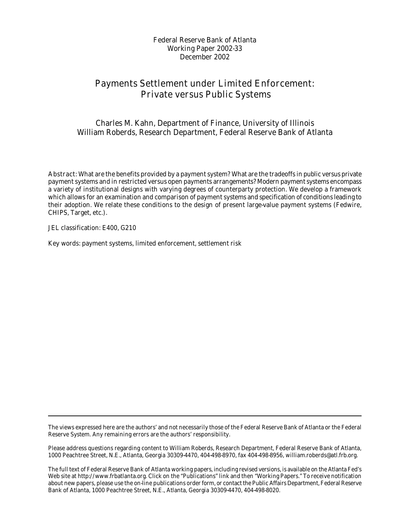Federal Reserve Bank of Atlanta Working Paper 2002-33 December 2002

## **Payments Settlement under Limited Enforcement: Private versus Public Systems**

Charles M. Kahn, Department of Finance, University of Illinois William Roberds, Research Department, Federal Reserve Bank of Atlanta

**Abstract:** What are the benefits provided by a payment system? What are the tradeoffs in public versus private payment systems and in restricted versus open payments arrangements? Modern payment systems encompass a variety of institutional designs with varying degrees of counterparty protection. We develop a framework which allows for an examination and comparison of payment systems and specification of conditions leading to their adoption. We relate these conditions to the design of present large-value payment systems (Fedwire, CHIPS, Target, etc.).

JEL classification: E400, G210

Key words: payment systems, limited enforcement, settlement risk

The views expressed here are the authors' and not necessarily those of the Federal Reserve Bank of Atlanta or the Federal Reserve System. Any remaining errors are the authors' responsibility.

Please address questions regarding content to William Roberds, Research Department, Federal Reserve Bank of Atlanta, 1000 Peachtree Street, N.E., Atlanta, Georgia 30309-4470, 404-498-8970, fax 404-498-8956, william.roberds@atl.frb.org.

The full text of Federal Reserve Bank of Atlanta working papers, including revised versions, is available on the Atlanta Fed's Web site at http://www.frbatlanta.org. Click on the "Publications" link and then "Working Papers." To receive notification about new papers, please use the on-line publications order form, or contact the Public Affairs Department, Federal Reserve Bank of Atlanta, 1000 Peachtree Street, N.E., Atlanta, Georgia 30309-4470, 404-498-8020.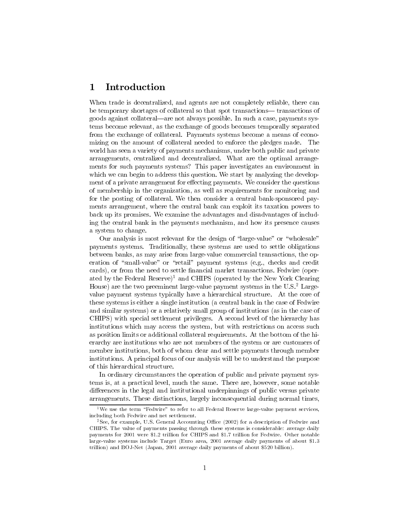#### Introduction 1

When trade is decentralized, and agents are not completely reliable, there can be temporary shortages of collateral so that spot transactions—transactions of goods against collateral—are not always possible. In such a case, payments systems become relevant, as the exchange of goods becomes temporally separated from the exchange of collateral. Payments systems become a means of economizing on the amount of collateral needed to enforce the pledges made. The world has seen a variety of payments mechanisms, under both public and private arrangements, centralized and decentralized. What are the optimal arrangements for such payments systems? This paper investigates an environment in which we can begin to address this question. We start by analyzing the development of a private arrangement for effecting payments. We consider the questions of membership in the organization, as well as requirements for monitoring and for the posting of collateral. We then consider a central bank-sponsored payments arrangement, where the central bank can exploit its taxation powers to back up its promises. We examine the advantages and disadvantages of including the central bank in the payments mechanism, and how its presence causes a system to change.

Our analysis is most relevant for the design of "large-value" or "wholesale" payments systems. Traditionally, these systems are used to settle obligations between banks, as may arise from large-value commercial transactions, the operation of "small-value" or "retail" payment systems (e.g., checks and credit cards), or from the need to settle financial market transactions. Fedwire (operated by the Federal Reserve)<sup> $\perp$ </sup> and CHIPS (operated by the New York Clearing House) are the two preeminent large-value payment systems in the U.S.<sup>2</sup> Largevalue payment systems typically have a hierarchical structure. At the core of these systems is either a single institution (a central bank in the case of Fedwire and similar systems) or a relatively small group of institutions (as in the case of CHIPS) with special settlement privileges. A second level of the hierarchy has institutions which may access the system, but with restrictions on access such as position limits or additional collateral requirements. At the bottom of the hierarchy are institutions who are not members of the system or are customers of member institutions, both of whom clear and settle payments through member institutions. A principal focus of our analysis will be to understand the purpose of this hierarchical structure.

In ordinary circumstances the operation of public and private payment systems is, at a practical level, much the same. There are, however, some notable differences in the legal and institutional underpinnings of public versus private arrangements. These distinctions, largely inconsequential during normal times,

 $^1$  We use the term "Fedwire" to refer to all Federal Reserve large-value payment services, including both Fedwire and net settlement.

<sup>&</sup>lt;sup>2</sup> See, for example, U.S. General Accounting Office  $(2002)$  for a description of Fedwire and CHIPS. The value of payments passing through these systems is considerable: average daily payments for 2001 were \$1.2 trillion for CHIPS and \$1.7 trillion for Fedwire. Other notable large-value systems include Target (Euro area, 2001 average daily payments of about \$1.3 trillion) and BOJ-Net (Japan, 2001 average daily payments of about \$520 billion).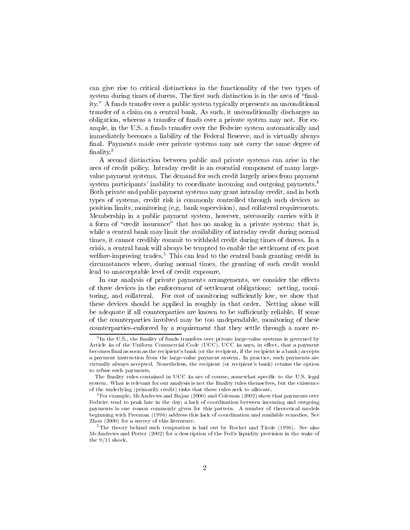can give rise to critical distinctions in the functionality of the two types of system during times of duress. The first such distinction is in the area of "finality." A funds transfer over a public system typically represents an unconditional transfer of a claim on a central bank. As such, it unconditionally discharges an obligation, whereas a transfer of funds over a private system may not. For example, in the U.S. a funds transfer over the Fedwire system automatically and immediately becomes a liability of the Federal Reserve, and is virtually always final. Payments made over private systems may not carry the same degree of finality. $3$ 

A second distinction between public and private systems can arise in the area of credit policy. Intraday credit is an essential component of many largevalue payment systems. The demand for such credit largely arises from payment system participants' inability to coordinate incoming and outgoing payments.<sup>4</sup> Both private and public payment systems may grant intraday credit, and in both types of systems, credit risk is commonly controlled through such devices as position limits, monitoring (e.g. bank supervision), and collateral requirements. Membership in a public payment system, however, necessarily carries with it a form of "credit insurance" that has no analog in a private system: that is, while a central bank may limit the availability of intraday credit during normal times, it cannot credibly commit to withhold credit during times of duress. In a crisis, a central bank will always be tempted to enable the settlement of ex post welfare-improving trades.<sup>5</sup> This can lead to the central bank granting credit in circumstances where, during normal times, the granting of such credit would lead to unacceptable level of credit exposure.

In our analysis of private payments arrangements, we consider the effects of three devices in the enforcement of settlement obligations: netting, monitoring, and collateral. For cost of monitoring sufficiently low, we show that these devices should be applied in roughly in that order. Netting alone will be adequate if all counterparties are known to be sufficiently reliable. If some of the counterparties involved may be too undependable, monitoring of these counterparties-enforced by a requirement that they settle through a more re-

 $3$  In the U.S., the finality of funds transfers over private large-value systems is governed by Article 4a of the Uniform Commercial Code (UCC). UCC 4a says, in effect, that a payment becomes final as soon as the recipient's bank (or the recipient, if the recipient is a bank) accepts a payment instruction from the large-value payment system. In practice, such payments are virtually always accepted. Nonetheless, the recipient (or recipient's bank) retains the option to refuse such payments.

The finality rules contained in UCC 4a are of course, somewhat specific to the U.S. legal system. What is relevant for our analysis is not the finality rules themselves, but the existence of the underlying (primarily credit) risks that these rules seek to allocate.

<sup>&</sup>lt;sup>4</sup> For example, McAndrews and Rajan (2000) and Coleman (2002) show that payments over Fedwire tend to peak late in the day; a lack of coordination between incoming and outgoing payments is one reason commonly given for this pattern. A number of theoretical models beginning with Freeman (1996) address this lack of coordination and available remedies. See Zhou (2000) for a survey of this literature.

 $5$  The theory behind such temptation is laid out by Rochet and Tirole (1996). See also McAndrews and Potter (2002) for a description of the Fed's liquidity provision in the wake of the  $9/11$  shock.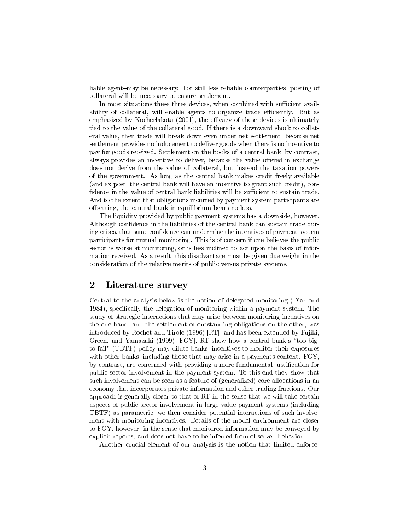liable agent-may be necessary. For still less reliable counterparties, posting of collateral will be necessary to ensure settlement.

In most situations these three devices, when combined with sufficient availability of collateral, will enable agents to organize trade efficiently. But as emphasized by Kocherlakota (2001), the efficacy of these devices is ultimately tied to the value of the collateral good. If there is a downward shock to collateral value, then trade will break down even under net settlement, because net settlement provides no inducement to deliver goods when there is no incentive to pay for goods received. Settlement on the books of a central bank, by contrast, always provides an incentive to deliver, because the value offered in exchange does not derive from the value of collateral, but instead the taxation powers of the government. As long as the central bank makes credit freely available (and ex post, the central bank will have an incentive to grant such credit), confidence in the value of central bank liabilities will be sufficient to sustain trade. And to the extent that obligations incurred by payment system participants are offsetting, the central bank in equilibrium bears no loss.

The liquidity provided by public payment systems has a downside, however. Although confidence in the liabilities of the central bank can sustain trade during crises, that same confidence can undermine the incentives of payment system participants for mutual monitoring. This is of concern if one believes the public sector is worse at monitoring, or is less inclined to act upon the basis of information received. As a result, this disadvantage must be given due weight in the consideration of the relative merits of public versus private systems.

#### $\boldsymbol{2}$ Literature survey

Central to the analysis below is the notion of delegated monitoring (Diamond 1984), specifically the delegation of monitoring within a payment system. The study of strategic interactions that may arise between monitoring incentives on the one hand, and the settlement of outstanding obligations on the other, was introduced by Rochet and Tirole (1996) [RT], and has been extended by Fujiki, Green, and Yamazaki (1999) [FGY]. RT show how a central bank's "too-bigto-fail" (TBTF) policy may dilute banks' incentives to monitor their exposures with other banks, including those that may arise in a payments context. FGY, by contrast, are concerned with providing a more fundamental justification for public sector involvement in the payment system. To this end they show that such involvement can be seen as a feature of (generalized) core allocations in an economy that incorporates private information and other trading fractions. Our approach is generally closer to that of RT in the sense that we will take certain aspects of public sector involvement in large-value payment systems (including TBTF) as parametric; we then consider potential interactions of such involvement with monitoring incentives. Details of the model environment are closer to FGY, however, in the sense that monitored information may be conveyed by explicit reports, and does not have to be inferred from observed behavior.

Another crucial element of our analysis is the notion that limited enforce-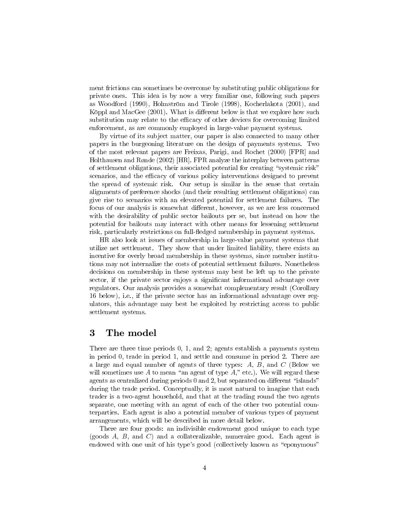ment frictions can sometimes be overcome by substituting public obligations for private ones. This idea is by now a very familiar one, following such papers as Woodford (1990), Holmström and Tirole (1998), Kocherlakota (2001), and Köppl and MacGee (2001). What is different below is that we explore how such substitution may relate to the efficacy of other devices for overcoming limited enforcement, as are commonly employed in large-value payment systems.

By virtue of its subject matter, our paper is also connected to many other papers in the burgeoning literature on the design of payments systems. Two of the most relevant papers are Freixas, Parigi, and Rochet (2000) [FPR] and Holthausen and Rønde  $(2002)$  HR. FPR analyze the interplay between patterns of settlement obligations, their associated potential for creating "systemic risk" scenarios, and the efficacy of various policy interventions designed to prevent the spread of systemic risk. Our setup is similar in the sense that certain alignments of preference shocks (and their resulting settlement obligations) can give rise to scenarios with an elevated potential for settlement failures. The focus of our analysis is somewhat different, however, as we are less concerned with the desirability of public sector bailouts per se, but instead on how the potential for bailouts may interact with other means for lessening settlement risk, particularly restrictions on full-fledged membership in payment systems.

HR also look at issues of membership in large-value payment systems that utilize net settlement. They show that under limited liability, there exists an incentive for overly broad membership in these systems, since member institutions may not internalize the costs of potential settlement failures. Nonetheless decisions on membership in these systems may best be left up to the private sector, if the private sector enjoys a significant informational advantage over regulators. Our analysis provides a somewhat complementary result (Corollary 16 below), i.e., if the private sector has an informational advantage over regulators, this advantage may best be exploited by restricting access to public settlement systems.

#### 3 The model

There are three time periods  $0, 1,$  and  $2$ ; agents establish a payments system in period 0, trade in period 1, and settle and consume in period 2. There are a large and equal number of agents of three types:  $A, B,$  and  $C$  (Below we will sometimes use A to mean "an agent of type  $A$ ," etc.). We will regard these agents as centralized during periods 0 and 2, but separated on different "islands" during the trade period. Conceptually, it is most natural to imagine that each trader is a two-agent household, and that at the trading round the two agents separate, one meeting with an agent of each of the other two potential counterparties. Each agent is also a potential member of various types of payment arrangements, which will be described in more detail below.

There are four goods: an indivisible endowment good unique to each type (goods A, B, and C) and a collateralizable, numeraire good. Each agent is endowed with one unit of his type's good (collectively known as "eponymous"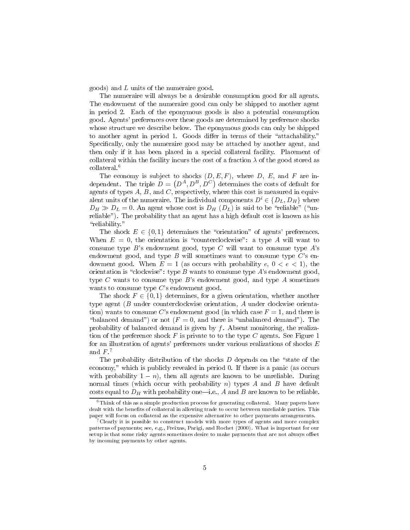$\left(\text{goods}\right)$  and L units of the numeraire good.

The numeraire will always be a desirable consumption good for all agents. The endowment of the numeraire good can only be shipped to another agent in period 2. Each of the eponymous goods is also a potential consumption good. Agents' preferences over these goods are determined by preference shocks whose structure we describe below. The eponymous goods can only be shipped to another agent in period 1. Goods differ in terms of their "attachability." Specifically, only the numeraire good may be attached by another agent, and then only if it has been placed in a special collateral facility. Placement of collateral within the facility incurs the cost of a fraction  $\lambda$  of the good stored as collateral.<sup>6</sup>

The economy is subject to shocks  $(D, E, F)$ , where D, E, and F are independent. The triple  $D = (D^A, D^B, D^C)$  determines the costs of default for agents of types  $A, B$ , and  $C$ , respectively, where this cost is measured in equivalent units of the numeraire. The individual components  $D^i \in \{D_L, D_H\}$  where  $D_H \gg D_L = 0$ . An agent whose cost is  $D_H(D_L)$  is said to be "reliable" ("unreliable"). The probability that an agent has a high default cost is known as his "reliability."

The shock  $E \in \{0,1\}$  determines the "orientation" of agents' preferences. When  $E = 0$ , the orientation is "counterclockwise": a type A will want to consume type  $B$ 's endowment good, type  $C$  will want to consume type  $A$ 's endowment good, and type B will sometimes want to consume type  $C$ 's endowment good. When  $E = 1$  (as occurs with probability  $e, 0 < e < 1$ ), the orientation is "clockwise": type B wants to consume type  $A$ 's endowment good, type  $C$  wants to consume type  $B$ 's endowment good, and type  $A$  sometimes wants to consume type  $C$ 's endowment good.

The shock  $F \in \{0,1\}$  determines, for a given orientation, whether another type agent  $(B$  under counterclockwise orientation,  $A$  under clockwise orientation) wants to consume C's endowment good (in which case  $F = 1$ , and there is "balanced demand") or not  $(F = 0)$ , and there is "unbalanced demand"). The probability of balanced demand is given by  $f$ . Absent monitoring, the realization of the preference shock  $F$  is private to to the type  $C$  agents. See Figure 1 for an illustration of agents' preferences under various realizations of shocks  $E$ and  $F<sup>7</sup>$ 

The probability distribution of the shocks D depends on the "state of the economy," which is publicly revealed in period 0. If there is a panic (as occurs with probability  $1 - n$ , then all agents are known to be unreliable. During normal times (which occur with probability  $n$ ) types A and B have default costs equal to  $D_H$  with probability one—i.e., A and B are known to be reliable.

 $6$ Think of this as a simple production process for generating collateral. Many papers have dealt with the benefits of collateral in allowing trade to occur between unreliable parties. This paper will focus on collateral as the expensive alternative to other payments arrangements.

<sup>&</sup>lt;sup>7</sup> Clearly it is possible to construct models with more types of agents and more complex patterns of payments; see, e.g., Freixas, Parigi, and Rochet (2000). What is important for our setup is that some risky agents sometimes desire to make payments that are not always offset by incoming payments by other agents.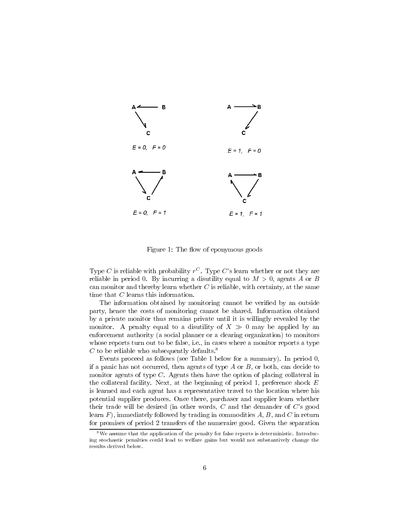

Figure 1: The flow of eponymous goods

Type C is reliable with probability  $r^C$ . Type C's learn whether or not they are reliable in period 0. By incurring a disutility equal to  $M > 0$ , agents A or B can monitor and thereby learn whether  $C$  is reliable, with certainty, at the same time that  $C$  learns this information.

The information obtained by monitoring cannot be verified by an outside party, hence the costs of monitoring cannot be shared. Information obtained by a private monitor thus remains private until it is willingly revealed by the monitor. A penalty equal to a disutility of  $X \gg 0$  may be applied by an enforcement authority (a social planner or a clearing organization) to monitors whose reports turn out to be false, i.e., in cases where a monitor reports a type  $C$  to be reliable who subsequently defaults.<sup>8</sup>

Events proceed as follows (see Table 1 below for a summary). In period 0, if a panic has not occurred, then agents of type  $A$  or  $B$ , or both, can decide to monitor agents of type  $C$ . Agents then have the option of placing collateral in the collateral facility. Next, at the beginning of period 1, preference shock  $E$ is learned and each agent has a representative travel to the location where his potential supplier produces. Once there, purchaser and supplier learn whether their trade will be desired (in other words,  $C$  and the demander of  $C$ 's good learn  $F$ ), immediately followed by trading in commodities  $A, B$ , and  $C$  in return for promises of period 2 transfers of the numeraire good. Given the separation

 $^8\!$  We assume that the application of the penalty for false reports is deterministic. Introducing stochastic penalties could lead to welfare gains but would not substantively change the results derived below.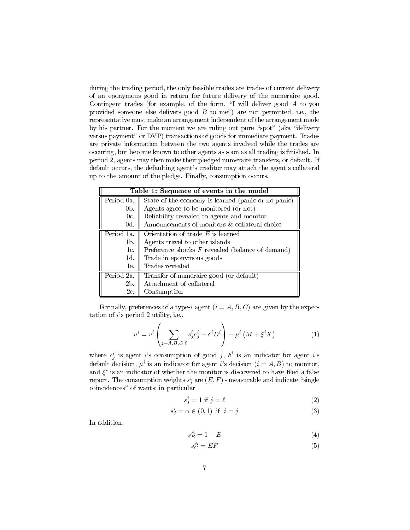during the trading period, the only feasible trades are trades of current delivery of an eponymous good in return for future delivery of the numeraire good. Contingent trades (for example, of the form, "I will deliver good  $A$  to you provided someone else delivers good  $B$  to me") are not permitted, i.e., the representative must make an arrangement independent of the arrangement made by his partner. For the moment we are ruling out pure "spot" (aka "delivery versus payment" or DVP) transactions of goods for immediate payment. Trades are private information between the two agents involved while the trades are occuring, but become known to other agents as soon as all trading is finished. In period 2, agents may then make their pledged numeraire transfers, or default. If default occurs, the defaulting agent's creditor may attach the agent's collateral up to the amount of the pledge. Finally, consumption occurs.

| Table 1: Sequence of events in the model |                                                     |
|------------------------------------------|-----------------------------------------------------|
| Period 0a.                               | State of the economy is learned (panic or no panic) |
| $0b$ .                                   | Agents agree to be monitored (or not)               |
| 0c.                                      | Reliability revealed to agents and monitor          |
| 0d.                                      | Announcements of monitors & collateral choice       |
| Period 1a.                               | Orientation of trade $E$ is learned                 |
| 1b.                                      | Agents travel to other islands                      |
| 1c.                                      | Preference shocks $F$ revealed (balance of demand)  |
| 1d.                                      | Trade in eponymous goods                            |
| 1e.                                      | Trades revealed                                     |
| Period 2a.                               | Transfer of numeraire good (or default)             |
| 2b.                                      | Attachment of collateral                            |
| 2c.                                      | Consumption                                         |

Formally, preferences of a type i agent  $(i = A, B, C)$  are given by the expectation of  $i$ 's period 2 utility, i.e.,

$$
u^{i} = v^{i} \left( \sum_{j=A,B,C,\ell} s_{j}^{i} c_{j}^{i} - \delta^{i} D^{i} \right) - \mu^{i} \left( M + \xi^{i} X \right)
$$
 (1)

where  $c_j^i$  is agent *i*'s consumption of good *j*,  $\delta^i$  is an indicator for agent *i*'s default decision,  $\mu^{i}$  is an indicator for agent i's decision  $(i = A, B)$  to monitor, and  $\xi^i$  is an indicator of whether the monitor is discovered to have filed a false report. The consumption weights  $s_j^i$  are  $(E, F)$  - measurable and indicate "single" coincidences" of wants; in particular

$$
s_j^i = 1 \text{ if } j = \ell \tag{2}
$$

$$
s_j^i = \alpha \in (0,1) \text{ if } i = j \tag{3}
$$

In addition,

$$
s_B^A = 1 - E \tag{4}
$$

$$
s_C^A = EF \tag{5}
$$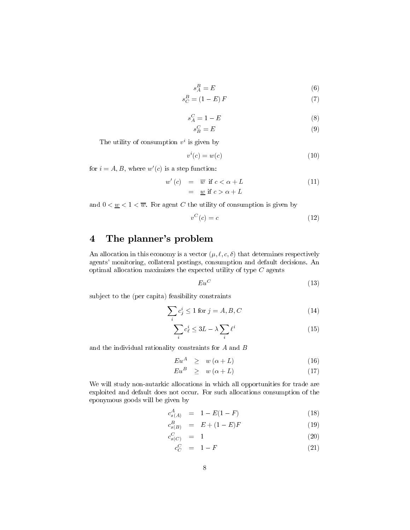$$
s_A^B = E \tag{6}
$$

$$
s_C^B = (1 - E)F \tag{7}
$$

$$
s_A^C = 1 - E \tag{8}
$$

$$
s_B^C = E \tag{9}
$$

The utility of consumption  $v^i$  is given by

$$
v^i(c) = w(c) \tag{10}
$$

for  $i = A, B$ , where  $w'(c)$  is a step function:

$$
w'(c) = \overline{w} \text{ if } c < \alpha + L
$$
  
= 
$$
\underline{w} \text{ if } c > \alpha + L
$$
 (11)

and  $0 < \underline{w} < 1 < \overline{w}$ . For agent C the utility of consumption is given by

$$
v^C(c) = c \tag{12}
$$

#### The planner's problem  $\boldsymbol{4}$

An allocation in this economy is a vector  $(\mu, \ell, c, \delta)$  that determines respectively agents' monitoring, collateral postings, consumption and default decisions. An optimal allocation maximizes the expected utility of type  $C$  agents

$$
Eu^C \tag{13}
$$

subject to the (per capita) feasibility constraints

$$
\sum_{i} c_j^i \le 1 \text{ for } j = A, B, C \tag{14}
$$

$$
\sum_{i} c_{\ell}^{i} \leq 3L - \lambda \sum_{i} \ell^{i} \tag{15}
$$

and the individual rationality constraints for  $A$  and  $B$ 

$$
Eu^A \geq w(\alpha + L) \tag{16}
$$

$$
Eu^B \geq w(\alpha + L) \tag{17}
$$

We will study non-autarkic allocations in which all opportunities for trade are exploited and default does not occur. For such allocations consumption of the eponymous goods will be given by

$$
c_{s(A)}^A = 1 - E(1 - F) \tag{18}
$$

$$
c_{s(B)}^B = E + (1 - E)F \tag{19}
$$

$$
c_{s(C)}^C = 1 \tag{20}
$$

$$
c_C^C = 1 - F \tag{21}
$$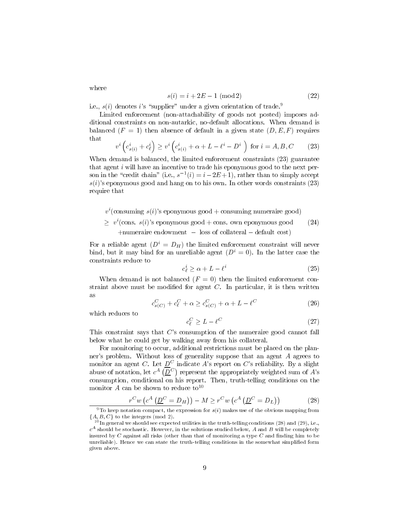where

$$
s(i) = i + 2E - 1 \pmod{2} \tag{22}
$$

i.e.,  $s(i)$  denotes i's "supplier" under a given orientation of trade.<sup>9</sup>

Limited enforcement (non-attachability of goods not posted) imposes additional constraints on non-autarkic, no-default allocations. When demand is balanced  $(F = 1)$  then absence of default in a given state  $(D, E, F)$  requires that

$$
v^{i}\left(c_{s(i)}^{i}+c_{\ell}^{i}\right)\geq v^{i}\left(c_{s(i)}^{i}+\alpha+L-\ell^{i}-D^{i}\right) \text{ for } i=A,B,C
$$
 (23)

When demand is balanced, the limited enforcement constraints (23) guarantee that agent i will have an incentive to trade his eponymous good to the next person in the "credit chain" (i.e.,  $s^{-1}(i) = i - 2E + 1$ ), rather than to simply accept  $s(i)$ 's eponymous good and hang on to his own. In other words constraints (23) require that

 $v^{i}$  (consuming  $s(i)$ 's eponymous good + consuming numeraire good)  $> v^i$ (cons.  $s(i)$ 's eponymous good + cons. own eponymous good  $(24)$  $+$ numeraire endowment  $-$  loss of collateral  $-$  default cost)

For a reliable agent  $(D^i = D_H)$  the limited enforcement constraint will never bind, but it may bind for an unreliable agent  $(D^{i} = 0)$ . In the latter case the constraints reduce to

$$
c^i_{\ell} \ge \alpha + L - \ell^i \tag{25}
$$

When demand is not balanced  $(F = 0)$  then the limited enforcement constraint above must be modified for agent  $C$ . In particular, it is then written as

$$
c_{s(C)}^C + c_{\ell}^C + \alpha \ge c_{s(C)}^C + \alpha + L - \ell^C \tag{26}
$$

which reduces to

$$
c_{\ell}^C \ge L - \ell^C \tag{27}
$$

This constraint says that  $C$ 's consumption of the numeraire good cannot fall below what he could get by walking away from his collateral.

For monitoring to occur, additional restrictions must be placed on the planner's problem. Without loss of generality suppose that an agent  $A$  agrees to monitor an agent C. Let  $\underline{D}^C$  indicate A's report on C's reliability. By a slight<br>abuse of notation, let  $c^A$  ( $\underline{D}^C$ ) represent the appropriately weighted sum of A's consumption, conditional on his report. Then, truth-telling conditions on the monitor A can be shown to reduce to<sup>10</sup>

$$
r^{C}w\left(c^{A}\left(\underline{D}^{C}=D_{H}\right)\right)-M\ge r^{C}w\left(c^{A}\left(\underline{D}^{C}=D_{L}\right)\right) \tag{28}
$$

<sup>&</sup>lt;sup>9</sup> To keep notation compact, the expression for  $s(i)$  makes use of the obvious mapping from  $\{A, B, C\}$  to the integers (mod 2).

 $10 \text{ In general we should see expected utilities in the truth- telling conditions (28) and (29), i.e.,}$  $c^A$  should be stochastic. However, in the solutions studied below, A and B will be completely insured by  $C$  against all risks (other than that of monitoring a type  $C$  and finding him to be unreliable). Hence we can state the truth-telling conditions in the somewhat simplified form given above.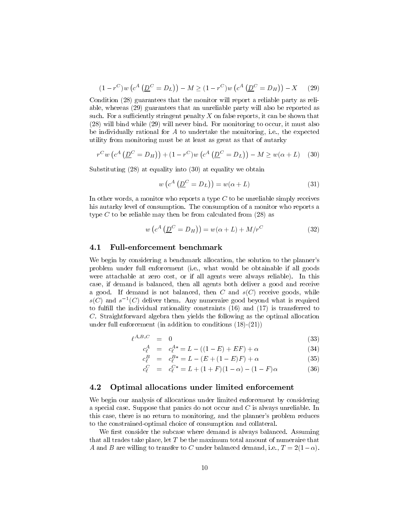$$
(1 - r^C)w\left(c^A \left(\underline{D}^C = D_L\right)\right) - M \ge (1 - r^C)w\left(c^A \left(\underline{D}^C = D_H\right)\right) - X \tag{29}
$$

Condition (28) guarantees that the monitor will report a reliable party as reliable, whereas (29) guarantees that an unreliable party will also be reported as such. For a sufficiently stringent penalty  $X$  on false reports, it can be shown that  $(28)$  will bind while  $(29)$  will never bind. For monitoring to occur, it must also be individually rational for  $A$  to undertake the monitoring, i.e., the expected utility from monitoring must be at least as great as that of autarky

$$
r^{C}w\left(c^{A}\left(\underline{D}^{C}=D_{H}\right)\right)+(1-r^{C})w\left(c^{A}\left(\underline{D}^{C}=D_{L}\right)\right)-M\geq w(\alpha+L)
$$
 (30)

Substituting  $(28)$  at equality into  $(30)$  at equality we obtain

$$
w\left(c^{A}\left(\underline{D}^{C}=D_{L}\right)\right)=w(\alpha+L)\tag{31}
$$

In other words, a monitor who reports a type  $C$  to be unreliable simply receives his autorly level of consumption. The consumption of a monitor who reports a type C to be reliable may then be from calculated from  $(28)$  as

$$
w\left(c^{A}\left(\underline{D}^{C}=D_{H}\right)\right)=w(\alpha+L)+M/r^{C}
$$
\n(32)

#### 4.1 Full-enforcement benchmark

We begin by considering a benchmark allocation, the solution to the planner's problem under full enforcement (i.e., what would be obtainable if all goods were attachable at zero cost, or if all agents were always reliable). In this case, if demand is balanced, then all agents both deliver a good and receive a good. If demand is not balanced, then C and  $s(C)$  receive goods, while  $s(C)$  and  $s^{-1}(C)$  deliver them. Any numeraire good beyond what is required to fulfill the individual rationality constraints  $(16)$  and  $(17)$  is transferred to C. Straightforward algebra then yields the following as the optimal allocation under full enforcement (in addition to conditions  $(18)-(21)$ )

$$
\ell^{A,B,C} = 0 \tag{33}
$$

$$
c_{\ell}^{A} = c_{\ell}^{A*} = L - ((1 - E) + EF) + \alpha \tag{34}
$$

$$
c_{\ell}^{B} = c_{\ell}^{B*} = L - (E + (1 - E)F) + \alpha \tag{35}
$$

$$
c_{\ell}^{C} = c_{\ell}^{C*} = L + (1 + F)(1 - \alpha) - (1 - F)\alpha \tag{36}
$$

#### Optimal allocations under limited enforcement 4.2

We begin our analysis of allocations under limited enforcement by considering a special case. Suppose that panics do not occur and  $C$  is always unreliable. In this case, there is no return to monitoring, and the planner's problem reduces to the constrained-optimal choice of consumption and collateral.

We first consider the subcase where demand is always balanced. Assuming that all trades take place, let  $T$  be the maximum total amount of numeraire that A and B are willing to transfer to C under balanced demand, i.e.,  $T = 2(1 - \alpha)$ .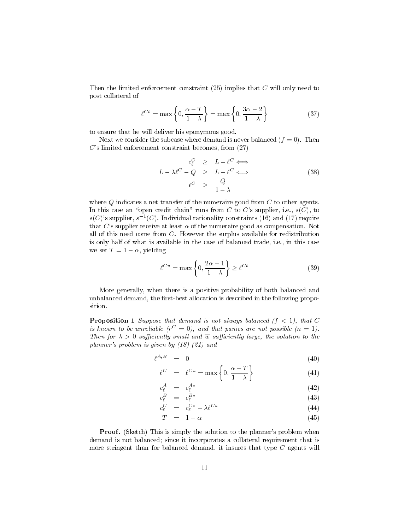Then the limited enforcement constraint  $(25)$  implies that C will only need to post collateral of

$$
\ell^{Cb} = \max\left\{0, \frac{\alpha - T}{1 - \lambda}\right\} = \max\left\{0, \frac{3\alpha - 2}{1 - \lambda}\right\} \tag{37}
$$

to ensure that he will deliver his eponymous good.

Next we consider the subcase where demand is never balanced  $(f = 0)$ . Then  $C$ 's limited enforcement constraint becomes, from  $(27)$ 

$$
c_{\ell}^{C} \geq L - \ell^{C} \Longleftrightarrow
$$
  
\n
$$
L - \lambda \ell^{C} - Q \geq L - \ell^{C} \Longleftrightarrow
$$
  
\n
$$
\ell^{C} \geq \frac{Q}{1 - \lambda}
$$
\n(38)

where  $Q$  indicates a net transfer of the numeraire good from  $C$  to other agents. In this case an "open credit chain" runs from C to C's supplier, i.e.,  $s(C)$ , to  $s(C)$ 's supplier,  $s^{-1}(C)$ . Individual rationality constraints (16) and (17) require that C's supplier receive at least  $\alpha$  of the numeraire good as compensation. Not all of this need come from  $C$ . However the surplus available for redistribution is only half of what is available in the case of balanced trade, i.e., in this case we set  $T = 1 - \alpha$ , yielding

$$
\ell^{Cu} = \max\left\{0, \frac{2\alpha - 1}{1 - \lambda}\right\} \ge \ell^{Cb} \tag{39}
$$

More generally, when there is a positive probability of both balanced and unbalanced demand, the first-best allocation is described in the following proposition.

**Proposition 1** Suppose that demand is not always balanced  $(f < 1)$ , that C is known to be unreliable  $(r^C = 0)$ , and that panics are not possible  $(n = 1)$ . Then for  $\lambda > 0$  sufficiently small and  $\overline{w}$  sufficiently large, the solution to the planner's problem is given by  $(18)$ - $(21)$  and

$$
\ell^{A,B} = 0 \tag{40}
$$

$$
\ell^C = \ell^{Cu} = \max\left\{0, \frac{\alpha - T}{1 - \lambda}\right\} \tag{41}
$$

$$
c_{\ell}^A = c_{\ell}^{A*} \tag{42}
$$

$$
c_{\ell}^{B} = c_{\ell}^{B*} \tag{43}
$$
\n
$$
c_{\ell}^{C} = c_{\ell}^{C*} \qquad \text{if } \ell \leq 1 \tag{44}
$$

$$
c_{\ell}^{\circ} = c_{\ell}^{\circ} - \lambda \ell^{\circ}^{\circ} \tag{44}
$$

$$
T = 1 - \alpha \tag{45}
$$

**Proof.** (Sketch) This is simply the solution to the planner's problem when demand is not balanced; since it incorporates a collateral requirement that is more stringent than for balanced demand, it insures that type  $C$  agents will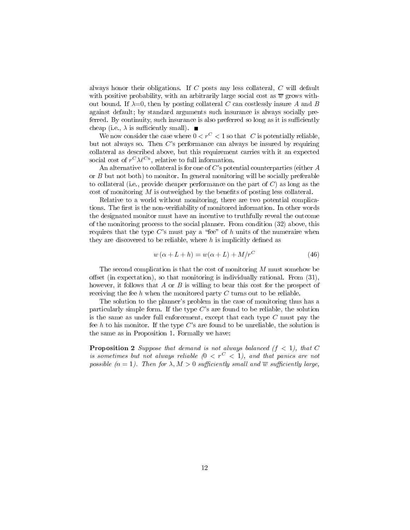always honor their obligations. If  $C$  posts any less collateral,  $C$  will default with positive probability, with an arbitrarily large social cost as  $\overline{w}$  grows without bound. If  $\lambda=0$ , then by posting collateral C can costlessly insure A and B against default; by standard arguments such insurance is always socially preferred. By continuity, such insurance is also preferred so long as it is sufficiently cheap (i.e.,  $\lambda$  is sufficiently small).  $\blacksquare$ 

We now consider the case where  $0 < r^C < 1$  so that C is potentially reliable. but not always so. Then  $C$ 's performance can always be insured by requiring collateral as described above, but this requirement carries with it an expected social cost of  $r^C \lambda \ell^{Cu}$ , relative to full information.

An alternative to collateral is for one of  $C$ 's potential counterparties (either A or  $B$  but not both) to monitor. In general monitoring will be socially preferable to collateral (i.e., provide cheaper performance on the part of  $C$ ) as long as the cost of monitoring  $M$  is outweighed by the benefits of posting less collateral.

Relative to a world without monitoring, there are two potential complications. The first is the non-verifiability of monitored information. In other words the designated monitor must have an incentive to truthfully reveal the outcome of the monitoring process to the social planner. From condition (32) above, this requires that the type  $C$ 's must pay a "fee" of  $h$  units of the numeraire when they are discovered to be reliable, where  $h$  is implicitly defined as

$$
w\left(\alpha + L + h\right) = w(\alpha + L) + M/r^C \tag{46}
$$

The second complication is that the cost of monitoring  $M$  must somehow be offset (in expectation), so that monitoring is individually rational. From  $(31)$ , however, it follows that A or B is willing to bear this cost for the prospect of receiving the fee h when the monitored party  $C$  turns out to be reliable.

The solution to the planner's problem in the case of monitoring thus has a particularly simple form. If the type  $C$ 's are found to be reliable, the solution is the same as under full enforcement, except that each type  $C$  must pay the fee h to his monitor. If the type C's are found to be unreliable, the solution is the same as in Proposition 1. Formally we have:

**Proposition 2** Suppose that demand is not always balanced  $(f < 1)$ , that C is sometimes but not always reliable  $(0 < r^C < 1)$ , and that panics are not possible  $(n = 1)$ . Then for  $\lambda, M > 0$  sufficiently small and  $\overline{w}$  sufficiently large,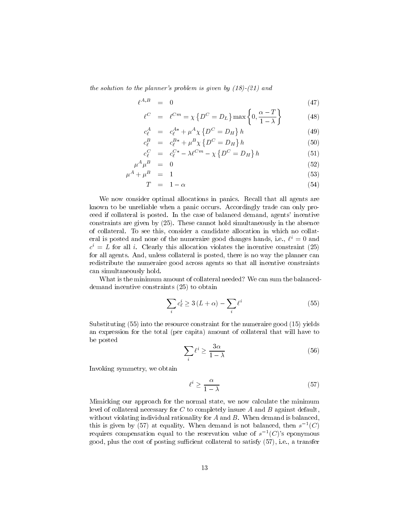the solution to the planner's problem is given by  $(18)-(21)$  and

$$
\ell^{A,B} = 0 \tag{47}
$$

$$
\ell^C = \ell^{Cm} = \chi \{ D^C = D_L \} \max \left\{ 0, \frac{\alpha - T}{1 - \lambda} \right\} \tag{48}
$$

$$
c_{\ell}^{A} = c_{\ell}^{A*} + \mu^{A} \chi \{ D^{C} = D_{H} \} h \tag{49}
$$

$$
c_{\ell}^{B} = c_{\ell}^{B*} + \mu^{B} \chi \{ D^{C} = D_{H} \} h \tag{50}
$$

$$
c_{\ell}^{C} = c_{\ell}^{C*} - \lambda \ell^{Cm} - \chi \left\{ D^{C} = D_{H} \right\} h \tag{51}
$$

$$
\mu^A \mu^B = 0 \tag{52}
$$

$$
\mu^A + \mu^B = 1 \tag{53}
$$

$$
T = 1 - \alpha \tag{54}
$$

We now consider optimal allocations in panics. Recall that all agents are known to be unreliable when a panic occurs. Accordingly trade can only proceed if collateral is posted. In the case of balanced demand, agents' incentive constraints are given by  $(25)$ . These cannot hold simultaneously in the absence of collateral. To see this, consider a candidate allocation in which no collateral is posted and none of the numeraire good changes hands, i.e.,  $\ell^i = 0$  and  $c^i = L$  for all i. Clearly this allocation violates the incentive constraint (25) for all agents. And, unless collateral is posted, there is no way the planner can redistribute the numeraire good across agents so that all incentive constraints can simultaneously hold.

What is the minimum amount of collateral needed? We can sum the balanceddemand incentive constraints  $(25)$  to obtain

$$
\sum_{i} c_{\ell}^{i} \ge 3(L+\alpha) - \sum_{i} \ell^{i}
$$
\n(55)

Substituting  $(55)$  into the resource constraint for the numeraire good  $(15)$  yields an expression for the total (per capita) amount of collateral that will have to be posted

$$
\sum_{i} \ell^i \ge \frac{3\alpha}{1-\lambda} \tag{56}
$$

Invoking symmetry, we obtain

$$
\ell^i \ge \frac{\alpha}{1-\lambda} \tag{57}
$$

Mimicking our approach for the normal state, we now calculate the minimum level of collateral necessary for C to completely insure A and B against default. without violating individual rationality for  $A$  and  $B$ . When demand is balanced, this is given by (57) at equality. When demand is not balanced, then  $s^{-1}(C)$ requires compensation equal to the reservation value of  $s^{-1}(C)$ 's eponymous good, plus the cost of posting sufficient collateral to satisfy (57), i.e., a transfer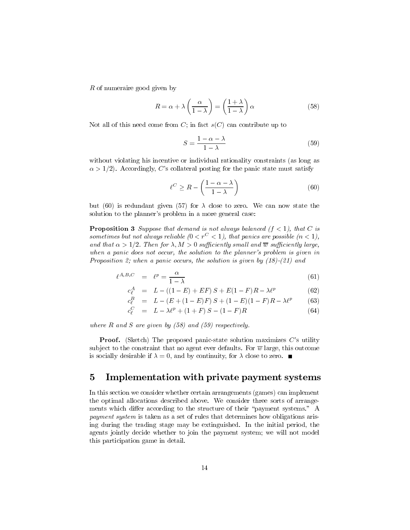$R$  of numeraire good given by

$$
R = \alpha + \lambda \left(\frac{\alpha}{1 - \lambda}\right) = \left(\frac{1 + \lambda}{1 - \lambda}\right)\alpha\tag{58}
$$

Not all of this need come from C; in fact  $s(C)$  can contribute up to

$$
S = \frac{1 - \alpha - \lambda}{1 - \lambda} \tag{59}
$$

without violating his incentive or individual rationality constraints (as long as  $\alpha > 1/2$ ). Accordingly, C's collateral posting for the panic state must satisfy

$$
\ell^C \ge R - \left(\frac{1 - \alpha - \lambda}{1 - \lambda}\right) \tag{60}
$$

but (60) is redundant given (57) for  $\lambda$  close to zero. We can now state the solution to the planner's problem in a more general case:

**Proposition 3** Suppose that demand is not always balanced  $(f < 1)$ , that C is sometimes but not always reliable  $(0 < r^C < 1)$ , that panics are possible  $(n < 1)$ , and that  $\alpha > 1/2$ . Then for  $\lambda, M > 0$  sufficiently small and  $\overline{w}$  sufficiently large, when a panic does not occur, the solution to the planner's problem is given in Proposition 2; when a panic occurs, the solution is given by  $(18)-(21)$  and

$$
\ell^{A,B,C} = \ell^p = \frac{\alpha}{1-\lambda} \tag{61}
$$

$$
c_{\ell}^{A} = L - ((1 - E) + EF)S + E(1 - F)R - \lambda \ell^{p}
$$
 (62)

$$
c_{\ell}^{B} = L - (E + (1 - E)F)S + (1 - E)(1 - F)R - \lambda \ell^{p}
$$
 (63)

$$
c_{\ell}^{C} = L - \lambda \ell^{p} + (1 + F)S - (1 - F)R \tag{64}
$$

where R and S are given by  $(58)$  and  $(59)$  respectively.

**Proof.** (Sketch) The proposed panic-state solution maximizes  $C$ 's utility subject to the constraint that no agent ever defaults. For  $\overline{w}$  large, this outcome is socially desirable if  $\lambda = 0$ , and by continuity, for  $\lambda$  close to zero.  $\blacksquare$ 

#### $\bf{5}$ Implementation with private payment systems

In this section we consider whether certain arrangements (games) can implement the optimal allocations described above. We consider three sorts of arrangements which differ according to the structure of their "payment systems." A *payment system* is taken as a set of rules that determines how obligations arising during the trading stage may be extinguished. In the initial period, the agents jointly decide whether to join the payment system; we will not model this participation game in detail.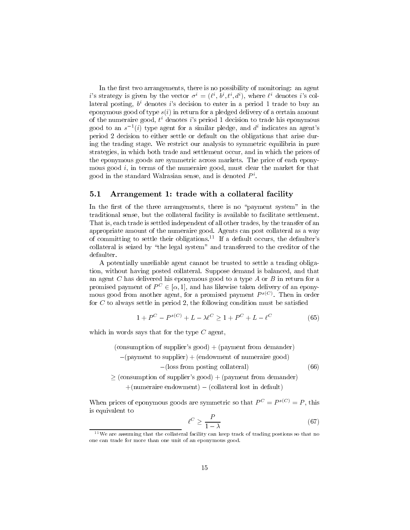In the first two arrangements, there is no possibility of monitoring: an agent *i*'s strategy is given by the vector  $\sigma^i = (\ell^i, b^i, t^i, d^i)$ , where  $\ell^i$  denotes *i*'s collateral posting,  $b^i$  denotes is decision to enter in a period 1 trade to buy an eponymous good of type  $s(i)$  in return for a pledged delivery of a certain amount of the numeraire good,  $t^i$  denotes is period 1 decision to trade his eponymous good to an  $s^{-1}(i)$  type agent for a similar pledge, and  $d^i$  indicates an agent's period 2 decision to either settle or default on the obligations that arise during the trading stage. We restrict our analysis to symmetric equilibria in pure strategies, in which both trade and settlement occur, and in which the prices of the eponymous goods are symmetric across markets. The price of each eponymous good  $i$ , in terms of the numeraire good, must clear the market for that good in the standard Walrasian sense, and is denoted  $P<sup>i</sup>$ .

#### $5.1$ Arrangement 1: trade with a collateral facility

In the first of the three arrangements, there is no "payment system" in the traditional sense, but the collateral facility is available to facilitate settlement. That is, each trade is settled independent of all other trades, by the transfer of an appropriate amount of the numeraire good. Agents can post collateral as a way of committing to settle their obligations.<sup>11</sup> If a default occurs, the defaulter's collateral is seized by "the legal system" and transferred to the creditor of the defaulter.

A potentially unreliable agent cannot be trusted to settle a trading obligation, without having posted collateral. Suppose demand is balanced, and that an agent C has delivered his eponymous good to a type A or B in return for a promised payment of  $P^C \in [\alpha, 1]$ , and has likewise taken delivery of an eponymous good from another agent, for a promised payment  $P^{s(C)}$ . Then in order for  $C$  to always settle in period 2, the following condition must be satisfied

$$
1 + P^C - P^{s(C)} + L - \lambda \ell^C \ge 1 + P^C + L - \ell^C \tag{65}
$$

which in words says that for the type  $C$  agent,

(consumption of supplier's good)  $+$  (payment from demander)  $-($ payment to supplier $) + ($ endowment of numeraire good $)$  $-(\text{loss from posting collateral})$  $(66)$  $\ge$  (consumption of supplier's good) + (payment from demander)

 $+(numeraire endowment) - (collateral lost in default)$ 

When prices of eponymous goods are symmetric so that  $P^C = P^{s(C)} = P$ , this is equivalent to

$$
\ell^C \ge \frac{P}{1-\lambda} \tag{67}
$$

 $11$  We are assuming that the collateral facility can keep track of trading postions so that no one can trade for more than one unit of an eponymous good.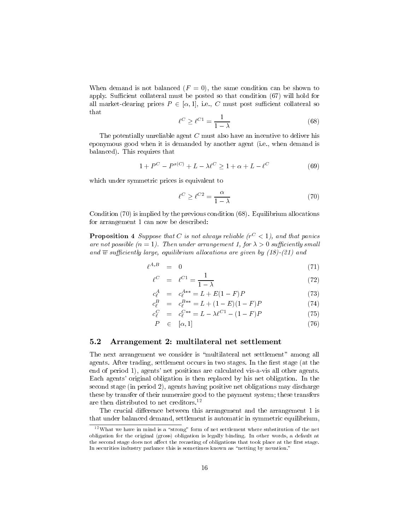When demand is not balanced  $(F = 0)$ , the same condition can be shown to apply. Sufficient collateral must be posted so that condition (67) will hold for all market-clearing prices  $P \in [\alpha, 1]$ , i.e., C must post sufficient collateral so that

$$
\ell^C \ge \ell^{C1} = \frac{1}{1 - \lambda} \tag{68}
$$

The potentially unreliable agent C must also have an incentive to deliver his eponymous good when it is demanded by another agent (i.e., when demand is balanced). This requires that

$$
1 + P^{C} - P^{s(C)} + L - \lambda \ell^{C} \ge 1 + \alpha + L - \ell^{C}
$$
 (69)

which under symmetric prices is equivalent to

$$
\ell^C \ge \ell^{C2} = \frac{\alpha}{1 - \lambda} \tag{70}
$$

Condition  $(70)$  is implied by the previous condition  $(68)$ . Equilibrium allocations for arrangement 1 can now be described:

**Proposition 4** Suppose that C is not always reliable  $(r^C < 1)$ , and that panics are not possible  $(n = 1)$ . Then under arrangement 1, for  $\lambda > 0$  sufficiently small and  $\overline{w}$  sufficiently large, equilibrium allocations are given by (18)-(21) and

$$
\ell^{A,B} = 0 \tag{71}
$$

$$
\ell^C = \ell^{C1} = \frac{1}{1 - \lambda} \tag{72}
$$

$$
c_{\ell}^{A} = c_{\ell}^{A**} = L + E(1 - F)P \tag{73}
$$

$$
c_{\ell}^{B} = c_{\ell}^{B**} = L + (1 - E)(1 - F)P \tag{74}
$$

$$
c_{\ell}^{C} = c_{\ell}^{C**} = L - \lambda \ell^{C1} - (1 - F)P \tag{75}
$$

$$
P \in [\alpha, 1] \tag{76}
$$

#### $5.2$ Arrangement 2: multilateral net settlement

The next arrangement we consider is "multilateral net settlement" among all agents. After trading, settlement occurs in two stages. In the first stage (at the end of period 1), agents' net positions are calculated vis-a-vis all other agents. Each agents' original obligation is then replaced by his net obligation. In the second stage (in period 2), agents having positive net obligations may discharge these by transfer of their numeraire good to the payment system; these transfers are then distributed to net creditors.<sup>12</sup>

The crucial difference between this arrangement and the arrangement 1 is that under balanced demand, settlement is automatic in symmetric equilibrium,

 $12$  What we have in mind is a "strong" form of net settlement where substitution of the net obligation for the original (gross) obligation is legally binding. In other words, a default at the second stage does not affect the recasting of obligations that took place at the first stage. In securities industry parlance this is sometimes known as "netting by novation."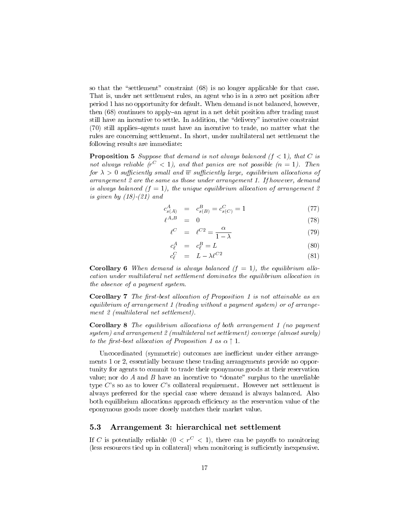so that the "settlement" constraint (68) is no longer applicable for that case. That is, under net settlement rules, an agent who is in a zero net position after period 1 has no opportunity for default. When demand is not balanced, however, then (68) continues to apply-an agent in a net debit position after trading must still have an incentive to settle. In addition, the "delivery" incentive constraint (70) still applies-agents must have an incentive to trade, no matter what the rules are concerning settlement. In short, under multilateral net settlement the following results are immediate:

**Proposition 5** Suppose that demand is not always balanced  $(f < 1)$ , that C is not always reliable  $(r^{C} < 1)$ , and that panics are not possible  $(n = 1)$ . Then for  $\lambda > 0$  sufficiently small and  $\overline{w}$  sufficiently large, equilibrium allocations of arrangement 2 are the same as those under arrangement 1. If however, demand is always balanced  $(f = 1)$ , the unique equilibrium allocation of arrangement 2 is given by  $(18)$ - $(21)$  and

 $\epsilon$ 

$$
\begin{array}{rcl}\nA & A \\
s(A) & = & c_{s(B)}^B = c_{s(C)}^C = 1\n\end{array} \tag{77}
$$

$$
\ell^{A,B} = 0 \tag{78}
$$

$$
e^{C} = e^{C2} = \frac{\alpha}{1 - \lambda} \tag{79}
$$

$$
c_{\ell}^A = c_{\ell}^B = L \tag{80}
$$

$$
\epsilon_{\ell}^{C} = L - \lambda \ell^{C2} \tag{81}
$$

**Corollary 6** When demand is always balanced  $(f = 1)$ , the equilibrium allocation under multilateral net settlement dominates the equilibrium allocation in the absence of a payment system.

**Corollary 7** The first-best allocation of Proposition 1 is not attainable as an equilibrium of arrangement 1 (trading without a payment system) or of arrangement  $2$  (multilateral net settlement).

**Corollary 8** The equilibrium allocations of both arrangement 1 (no payment system) and arrangement  $2$  (multilateral net settlement) converge (almost surely) to the first-best allocation of Proposition 1 as  $\alpha \uparrow 1$ .

Uncoordinated (symmetric) outcomes are inefficient under either arrangements 1 or 2, essentially because these trading arrangements provide no opportunity for agents to commit to trade their eponymous goods at their reservation value; nor do  $A$  and  $B$  have an incentive to "donate" surplus to the unreliable type  $C$ 's so as to lower  $C$ 's collateral requirement. However net settlement is always preferred for the special case where demand is always balanced. Also both equilibrium allocations approach efficiency as the reservation value of the eponymous goods more closely matches their market value.

#### $5.3$ Arrangement 3: hierarchical net settlement

If C is potentially reliable  $(0 < r^C < 1)$ , there can be payoffs to monitoring (less resources tied up in collateral) when monitoring is sufficiently inexpensive.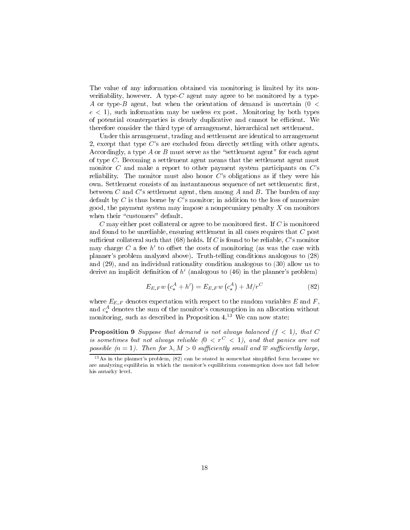The value of any information obtained via monitoring is limited by its nonverifiability, however. A type- $C$  agent may agree to be monitored by a type-A or type-B agent, but when the orientation of demand is uncertain  $(0<$  $e < 1$ , such information may be useless ex post. Monitoring by both types of potential counterparties is clearly duplicative and cannot be efficient. We therefore consider the third type of arrangement, hierarchical net settlement.

Under this arrangement, trading and settlement are identical to arrangement 2, except that type  $C$ 's are excluded from directly settling with other agents. Accordingly, a type  $A$  or  $B$  must serve as the "settlement agent" for each agent of type  $C$ . Becoming a settlement agent means that the settlement agent must monitor C and make a report to other payment system participants on  $C$ 's reliability. The monitor must also honor  $C$ 's obligations as if they were his own. Settlement consists of an instantaneous sequence of net settlements: first, between C and C's settlement agent, then among A and B. The burden of any default by  $C$  is thus borne by  $C$ 's monitor; in addition to the loss of numeraire good, the payment system may impose a nonpecuniary penalty  $X$  on monitors when their "customers" default.

 $C$  may either post collateral or agree to be monitored first. If  $C$  is monitored and found to be unreliable, ensuring settlement in all cases requires that  $C$  post sufficient collateral such that  $(68)$  holds. If C is found to be reliable, C's monitor may charge C a fee  $h'$  to offset the costs of monitoring (as was the case with planner's problem analyzed above). Truth-telling conditions analogous to (28) and  $(29)$ , and an individual rationality condition analogous to  $(30)$  allow us to derive an implicit definition of  $h'$  (analogous to (46) in the planner's problem)

$$
E_{E,F}w\left(c_*^A + h'\right) = E_{E,F}w\left(c_*^A\right) + M/r^C\tag{82}
$$

where  $E_{E,F}$  denotes expectation with respect to the random variables E and F, and  $c_*^A$  denotes the sum of the monitor's consumption in an allocation without monitoring, such as described in Proposition 4.<sup>13</sup> We can n

**Proposition 9** Suppose that demand is not always balanced  $(f < 1)$ , that C is sometimes but not always reliable  $(0 < r^C < 1)$ , and that panics are not possible  $(n = 1)$ . Then for  $\lambda, M > 0$  sufficiently small and  $\overline{w}$  sufficiently large,

 $^{13}$  As in the planner's problem, (82) can be stated in somewhat simplified form because we are analyzing equilibria in which the monitor's equilibrium consumption does not fall below his autarky level.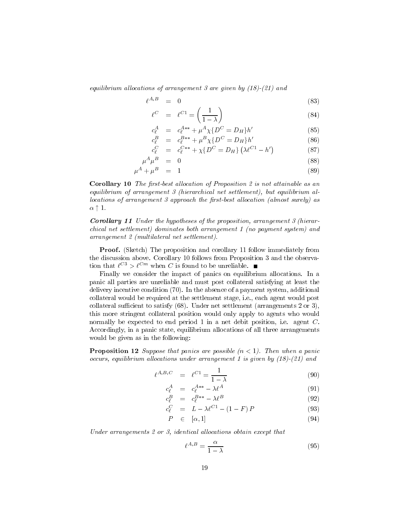equilibrium allocations of arrangement 3 are given by  $(18)-(21)$  and

$$
\ell^{A,B} = 0 \tag{83}
$$

$$
\ell^C = \ell^{C1} = \left(\frac{1}{1-\lambda}\right) \tag{84}
$$

$$
c_{\ell}^{A} = c_{\ell}^{A^{**}} + \mu^{A} \chi \{ D^{C} = D_{H} \} h' \tag{85}
$$

$$
c_{\ell}^{B} = c_{\ell}^{B^{**}} + \mu^{B} \chi \{ D^{C} = D_{H} \} h' \tag{86}
$$

$$
c_{\ell}^{C} = c_{\ell}^{C**} + \chi \{ D^{C} = D_{H} \} \left( \lambda \ell^{C1} - h' \right)
$$
 (87)

$$
\mu^A \mu^B = 0 \tag{88}
$$

$$
\mu^A + \mu^B = 1 \tag{89}
$$

Corollary 10 The first-best allocation of Proposition 2 is not attainable as an equilibrium of arrangement 3 (hierarchical net settlement), but equilibrium allocations of arrangement 3 approach the first-best allocation (almost surely) as  $\alpha \uparrow 1$ .

**Corollary 11** Under the hypotheses of the proposition, arrangement 3 (hierarchical net settlement) dominates both arrangement 1 (no payment system) and  $arrangement 2$  (multilateral net settlement).

**Proof.** (Sketch) The proposition and corollary 11 follow immediately from the discussion above. Corollary 10 follows from Proposition 3 and the observation that  $\ell^{C3} > \ell^{Cm}$  when C is found to be unreliable.  $\blacksquare$ 

Finally we consider the impact of panics on equilibrium allocations. In a panic all parties are unreliable and must post collateral satisfying at least the delivery incentive condition (70). In the absence of a payment system, additional collateral would be required at the settlement stage, i.e., each agent would post collateral sufficient to satisfy  $(68)$ . Under net settlement (arrangements 2 or 3), this more stringent collateral position would only apply to agents who would normally be expected to end period  $1$  in a net debit position, i.e. agent  $C$ . Accordingly, in a panic state, equilibrium allocations of all three arrangements would be given as in the following:

**Proposition 12** Suppose that panics are possible  $(n < 1)$ . Then when a panic occurs, equilibrium allocations under arrangement 1 is given by  $(18)-(21)$  and

$$
\ell^{A,B,C} = \ell^{C1} = \frac{1}{1-\lambda} \tag{90}
$$

$$
c_{\ell}^{A} = c_{\ell}^{A^{**}} - \lambda \ell^{A} \tag{91}
$$

$$
c_{\ell}^{B} = c_{\ell}^{B^{**}} - \lambda \ell^{B} \tag{92}
$$

$$
c_{\ell}^{C} = L - \lambda \ell^{C1} - (1 - F)P \qquad (93)
$$

$$
P \in [\alpha, 1] \tag{94}
$$

Under arrangements  $2$  or  $3$ , identical allocations obtain except that

$$
\ell^{A,B} = \frac{\alpha}{1 - \lambda} \tag{95}
$$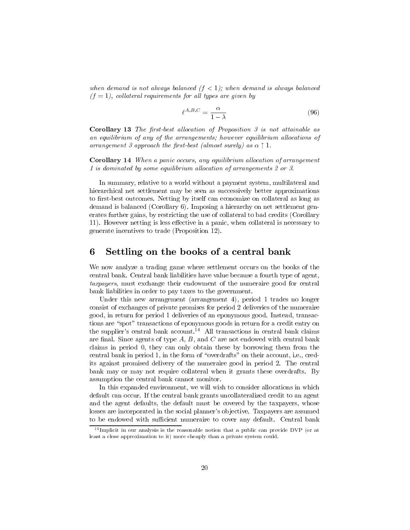when demand is not always balanced  $(f < 1)$ ; when demand is always balanced  $(f = 1)$ , collateral requirements for all types are given by

$$
\ell^{A,B,C} = \frac{\alpha}{1 - \lambda} \tag{96}
$$

**Corollary 13** The first-best allocation of Proposition 3 is not attainable as an equilibrium of any of the arrangements; however equilibrium allocations of arrangement 3 approach the first-best (almost surely) as  $\alpha \uparrow 1$ .

**Corollary 14** When a panic occurs, any equilibrium allocation of arrangement 1 is dominated by some equilibrium allocation of arrangements 2 or 3.

In summary, relative to a world without a payment system, multilateral and hierarchical net settlement may be seen as successively better approximations to first-best outcomes. Netting by itself can economize on collateral as long as demand is balanced (Corollary 6). Imposing a hierarchy on net settlement generates further gains, by restricting the use of collateral to bad credits (Corollary 11). However netting is less effective in a panic, when collateral is necessary to generate incentives to trade (Proposition 12).

#### 6 Settling on the books of a central bank

We now analyze a trading game where settlement occurs on the books of the central bank. Central bank liabilities have value because a fourth type of agent, taxpayers, must exchange their endowment of the numeraire good for central bank liabilities in order to pay taxes to the government.

Under this new arrangement (arrangement 4), period 1 trades no longer consist of exchanges of private promises for period 2 deliveries of the numeraire good, in return for period 1 deliveries of an eponymous good. Instead, transactions are "spot" transactions of eponymous goods in return for a credit entry on the supplier's central bank account.<sup>14</sup> All transactions in central bank claims are final. Since agents of type  $A, B$ , and  $C$  are not endowed with central bank claims in period 0, they can only obtain these by borrowing them from the central bank in period 1, in the form of "overdrafts" on their account, i.e., credits against promised delivery of the numeraire good in period 2. The central bank may or may not require collateral when it grants these overdrafts. By assumption the central bank cannot monitor.

In this expanded environment, we will wish to consider allocations in which default can occur. If the central bank grants uncollateralized credit to an agent and the agent defaults, the default must be covered by the taxpayers, whose losses are incorporated in the social planner's objective. Taxpayers are assumed to be endowed with sufficient numeraire to cover any default. Central bank

 $^{14}$  Implicit in our analysis is the reasonable notion that a public can provide DVP (or at least a close approximation to it) more cheaply than a private system could.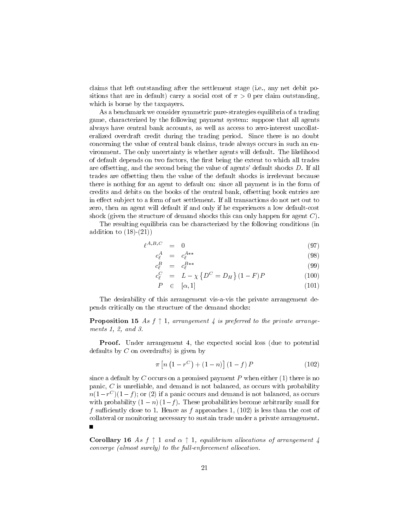claims that left outstanding after the settlement stage (i.e., any net debit positions that are in default) carry a social cost of  $\pi > 0$  per claim outstanding, which is borne by the taxpayers.

As a benchmark we consider symmetric pure-strategies equilibria of a trading game, characterized by the following payment system: suppose that all agents always have central bank accounts, as well as access to zero-interest uncollateralized overdraft credit during the trading period. Since there is no doubt concerning the value of central bank claims, trade always occurs in such an environment. The only uncertainty is whether agents will default. The likelihood of default depends on two factors, the first being the extent to which all trades are offsetting, and the second being the value of agents' default shocks  $D$ . If all trades are offsetting then the value of the default shocks is irrelevant because there is nothing for an agent to default on: since all payment is in the form of credits and debits on the books of the central bank, offsetting book entries are in effect subject to a form of net settlement. If all transactions do not net out to zero, then an agent will default if and only if he experiences a low default-cost shock (given the structure of demand shocks this can only happen for agent  $C$ ).

The resulting equilibria can be characterized by the following conditions (in addition to  $(18)-(21)$ 

$$
A, B, C = 0 \tag{97}
$$

$$
c_{\ell}^A = c_{\ell}^{A^{**}} \tag{98}
$$

$$
c_{\ell}^{B} = c_{\ell}^{B^{**}} \tag{99}
$$

$$
c_{\ell}^{C} = L - \chi \{ D^{C} = D_{H} \} (1 - F)P \qquad (100)
$$

$$
P \in [\alpha, 1] \tag{101}
$$

The desirability of this arrangement vis-a-vis the private arrangement depends critically on the structure of the demand shocks:

**Proposition 15** As  $f \uparrow 1$ , arrangement 4 is preferred to the private arrangements  $1, 2, and 3.$ 

**Proof.** Under arrangement 4, the expected social loss (due to potential defaults by  $C$  on overdrafts) is given by

$$
\pi \left[ n \left( 1 - r^C \right) + \left( 1 - n \right) \right] \left( 1 - f \right) P \tag{102}
$$

since a default by C occurs on a promised payment P when either  $(1)$  there is no panic,  $C$  is unreliable, and demand is not balanced, as occurs with probability  $n(1-r^C)(1-f)$ ; or (2) if a panic occurs and demand is not balanced, as occurs with probability  $(1 - n)(1 - f)$ . These probabilities become arbitrarily small for f sufficiently close to 1. Hence as f approaches 1, (102) is less than the cost of collateral or monitoring necessary to sustain trade under a private arrangement.  $\blacksquare$ 

**Corollary 16** As  $f \uparrow 1$  and  $\alpha \uparrow 1$ , equilibrium allocations of arrangement 4 converge (almost surely) to the full-enforcement allocation.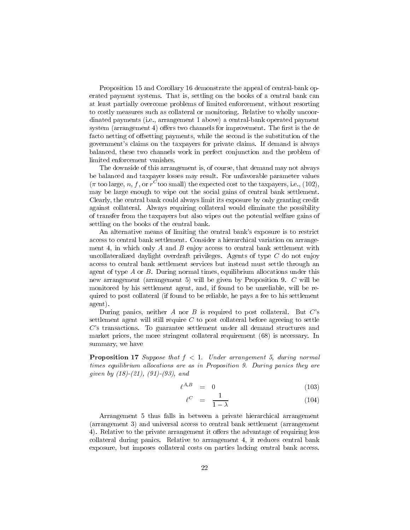Proposition 15 and Corollary 16 demonstrate the appeal of central-bank operated payment systems. That is, settling on the books of a central bank can at least partially overcome problems of limited enforcement, without resorting to costly measures such as collateral or monitoring. Relative to wholly uncoordinated payments (i.e., arrangement 1 above) a central-bank operated payment system (arrangement 4) offers two channels for improvement. The first is the de facto netting of offsetting payments, while the second is the substitution of the government's claims on the taxpayers for private claims. If demand is always balanced, these two channels work in perfect conjunction and the problem of limited enforcement vanishes.

The downside of this arrangement is, of course, that demand may not always be balanced and taxpayer losses may result. For unfavorable parameter values ( $\pi$  too large, n, f, or  $r^{C}$  too small) the expected cost to the taxpayers, i.e., (102), may be large enough to wipe out the social gains of central bank settlement. Clearly, the central bank could always limit its exposure by only granting credit against collateral. Always requiring collateral would eliminate the possibility of transfer from the taxpayers but also wipes out the potential welfare gains of settling on the books of the central bank.

An alternative means of limiting the central bank's exposure is to restrict access to central bank settlement. Consider a hierarchical variation on arrangement 4, in which only  $A$  and  $B$  enjoy access to central bank settlement with uncollateralized daylight overdraft privileges. Agents of type  $C$  do not enjoy access to central bank settlement services but instead must settle through an agent of type  $A$  or  $B$ . During normal times, equilibrium allocations under this new arrangement (arrangement 5) will be given by Proposition 9. C will be monitored by his settlement agent, and, if found to be unreliable, will be required to post collateral (if found to be reliable, he pays a fee to his settlement agent).

During panics, neither  $A$  nor  $B$  is required to post collateral. But  $C$ 's settlement agent will still require  $C$  to post collateral before agreeing to settle  $C$ 's transactions. To guarantee settlement under all demand structures and market prices, the more stringent collateral requirement (68) is necessary. In summary, we have

**Proposition 17** Suppose that  $f < 1$ . Under arrangement 5, during normal times equilibrium allocations are as in Proposition 9. During panics they are given by  $(18)-(21)$ ,  $(91)-(93)$ , and

$$
\ell^{A,B} = 0 \tag{103}
$$

$$
\ell^C = \frac{1}{1 - \lambda} \tag{104}
$$

Arrangement 5 thus falls in between a private hierarchical arrangement (arrangement 3) and universal access to central bank settlement (arrangement 4). Relative to the private arrangement it offers the advantage of requiring less collateral during panics. Relative to arrangement 4, it reduces central bank exposure, but imposes collateral costs on parties lacking central bank access.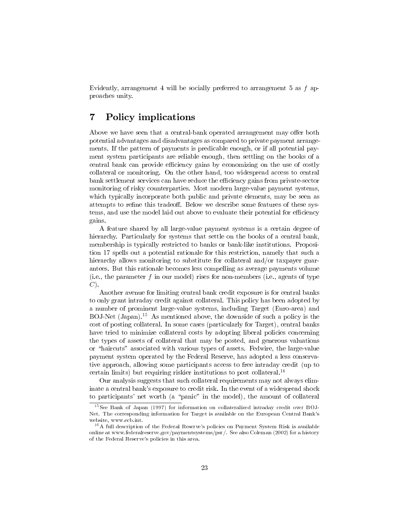Evidently, arrangement 4 will be socially preferred to arrangement 5 as  $f$  approaches unity.

#### $\overline{\mathbf{7}}$ Policy implications

Above we have seen that a central-bank operated arrangement may offer both potential advantages and disadvantages as compared to private payment arrangements. If the pattern of payments is predicable enough, or if all potential payment system participants are reliable enough, then settling on the books of a central bank can provide efficiency gains by economizing on the use of costly collateral or monitoring. On the other hand, too widespread access to central bank settlement services can have reduce the efficiency gains from private-sector monitoring of risky counterparties. Most modern large-value payment systems. which typically incorporate both public and private elements, may be seen as attempts to refine this tradeoff. Below we describe some features of these systems, and use the model laid out above to evaluate their potential for efficiency gains.

A feature shared by all large-value payment systems is a certain degree of hierarchy. Particularly for systems that settle on the books of a central bank. membership is typically restricted to banks or bank-like institutions. Proposition 17 spells out a potential rationale for this restriction, namely that such a hierarchy allows monitoring to substitute for collateral and/or taxpayer guarantees. But this rationale becomes less compelling as average payments volume (i.e., the parameter  $f$  in our model) rises for non-members (i.e., agents of type  $C$ ).

Another avenue for limiting central bank credit exposure is for central banks to only grant intraday credit against collateral. This policy has been adopted by a number of prominent large-value systems, including Target (Euro-area) and BOJ-Net (Japan).<sup>15</sup> As mentioned above, the downside of such a policy is the cost of posting collateral. In some cases (particularly for Target), central banks have tried to minimize collateral costs by adopting liberal policies concerning the types of assets of collateral that may be posted, and generous valuations or "haircuts" associated with various types of assets. Fedwire, the large-value payment system operated by the Federal Reserve, has adopted a less conservative approach, allowing some participants access to free intraday credit (up to certain limits) but requiring riskier institutions to post collateral.<sup>16</sup>

Our analysis suggests that such collateral requirements may not always eliminate a central bank's exposure to credit risk. In the event of a widespread shock to participants' net worth (a "panic" in the model), the amount of collateral

<sup>&</sup>lt;sup>15</sup> See Bank of Japan (1997) for information on collateralized intraday credit over BOJ-Net. The corresponding information for Target is available on the European Central Bank's website, www.ecb.int.

 $16$  A full description of the Federal Reserve's policies on Payment System Risk is available online at www.federalreserve.gov/paymentsystems/psr/. See also Coleman (2002) for a history of the Federal Reserve's policies in this area.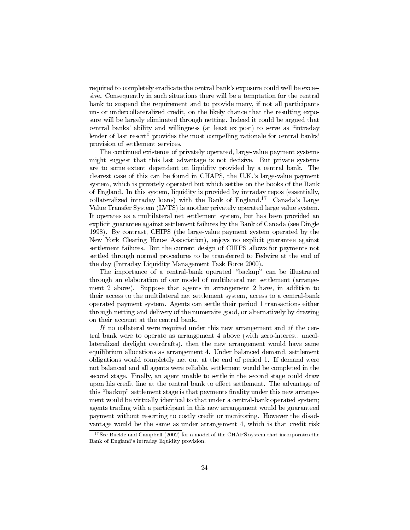required to completely eradicate the central bank's exposure could well be excessive. Consequently in such situations there will be a temptation for the central bank to suspend the requirement and to provide many, if not all participants un- or undercollateralized credit, on the likely chance that the resulting exposure will be largely eliminated through netting. Indeed it could be argued that central banks' ability and willingness (at least ex post) to serve as "intraday lender of last resort" provides the most compelling rationale for central banks' provision of settlement services.

The continued existence of privately operated, large-value payment systems might suggest that this last advantage is not decisive. But private systems are to some extent dependent on liquidity provided by a central bank. The clearest case of this can be found in CHAPS, the U.K.'s large-value payment system, which is privately operated but which settles on the books of the Bank of England. In this system, liquidity is provided by intraday repos (essentially, collateralized intraday loans) with the Bank of England.<sup>17</sup> Canada's Large Value Transfer System (LVTS) is another privately operated large value system. It operates as a multilateral net settlement system, but has been provided an explicit guarantee against settlement failures by the Bank of Canada (see Dingle 1998). By contrast, CHIPS (the large-value payment system operated by the New York Clearing House Association), enjoys no explicit guarantee against settlement failures. But the current design of CHIPS allows for payments not settled through normal procedures to be transferred to Fedwire at the end of the day (Intraday Liquidity Management Task Force 2000).

The importance of a central-bank operated "backup" can be illustrated through an elaboration of our model of multilateral net settlement (arrangement 2 above). Suppose that agents in arrangement 2 have, in addition to their access to the multilateral net settlement system, access to a central-bank operated payment system. Agents can settle their period 1 transactions either through netting and delivery of the numeraire good, or alternatively by drawing on their account at the central bank.

If no collateral were required under this new arrangement and if the central bank were to operate as arrangement 4 above (with zero-interest, uncollateralized daylight overdrafts), then the new arrangement would have same equilibrium allocations as arrangement 4. Under balanced demand, settlement obligations would completely net out at the end of period 1. If demand were not balanced and all agents were reliable, settlement would be completed in the second stage. Finally, an agent unable to settle in the second stage could draw upon his credit line at the central bank to effect settlement. The advantage of this "backup" settlement stage is that payments finality under this new arrangement would be virtually identical to that under a central-bank operated system; agents trading with a participant in this new arrangement would be guaranteed payment without resorting to costly credit or monitoring. However the disadvantage would be the same as under arrangement 4, which is that credit risk

<sup>&</sup>lt;sup>17</sup> See Buckle and Campbell (2002) for a model of the CHAPS system that incorporates the Bank of England's intraday liquidity provision.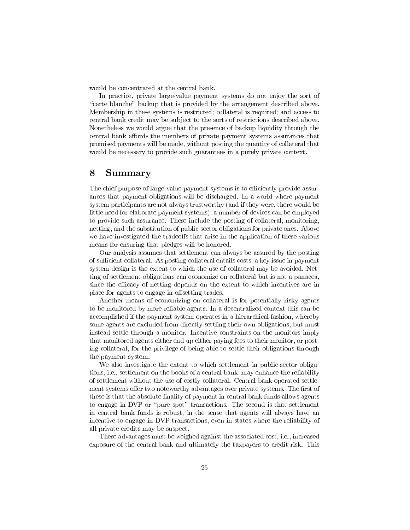would be concentrated at the central bank.

In practice, private large-value payment systems do not enjoy the sort of "carte blanche" backup that is provided by the arrangement described above. Membership in these systems is restricted; collateral is required; and access to central bank credit may be subject to the sorts of restrictions described above. Nonetheless we would argue that the presence of backup liquidity through the central bank affords the members of private payment systems assurances that promised payments will be made, without posting the quantity of collateral that would be necessary to provide such guarantees in a purely private context.

#### 8 Summary

The chief purpose of large-value payment systems is to efficiently provide assurances that payment obligations will be discharged. In a world where payment system participants are not always trustworthy (and if they were, there would be little need for elaborate payment systems), a number of devices can be employed to provide such assurance. These include the posting of collateral, monitoring, netting, and the substitution of public-sector obligations for private ones. Above we have investigated the tradeoffs that arise in the application of these various means for ensuring that pledges will be honored.

Our analysis assumes that settlement can always be assured by the posting of sufficient collateral. As posting collateral entails costs, a key issue in payment system design is the extent to which the use of collateral may be avoided. Netting of settlement obligations can economize on collateral but is not a panacea, since the efficacy of netting depends on the extent to which incentives are in place for agents to engage in offsetting trades.

Another means of economizing on collateral is for potentially risky agents to be monitored by more reliable agents. In a decentralized context this can be accomplished if the payment system operates in a hierarchical fashion, whereby some agents are excluded from directly settling their own obligations, but must instead settle through a monitor. Incentive constraints on the monitors imply that monitored agents either end up either paying fees to their monitor, or posting collateral, for the privilege of being able to settle their obligations through the payment system.

We also investigate the extent to which settlement in public-sector obligations, *i.e.*, settlement on the books of a central bank, may enhance the reliability of settlement without the use of costly collateral. Central-bank operated settlement systems offer two noteworthy advantages over private systems. The first of these is that the absolute finality of payment in central bank funds allows agents to engage in DVP or "pure spot" transactions. The second is that settlement in central bank funds is robust, in the sense that agents will always have an incentive to engage in DVP transactions, even in states where the reliability of all private credits may be suspect.

These advantages must be weighed against the associated cost, *i.e.*, increased exposure of the central bank and ultimately the taxpayers to credit risk. This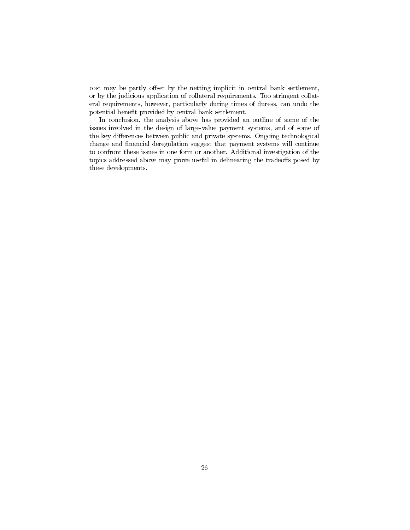cost may be partly offset by the netting implicit in central bank settlement, or by the judicious application of collateral requirements. Too stringent collateral requirements, however, particularly during times of duress, can undo the potential benefit provided by central bank settlement.

In conclusion, the analysis above has provided an outline of some of the issues involved in the design of large-value payment systems, and of some of the key differences between public and private systems. Ongoing technological change and financial deregulation suggest that payment systems will continue to confront these issues in one form or another. Additional investigation of the topics addressed above may prove useful in delineating the tradeoffs posed by these developments.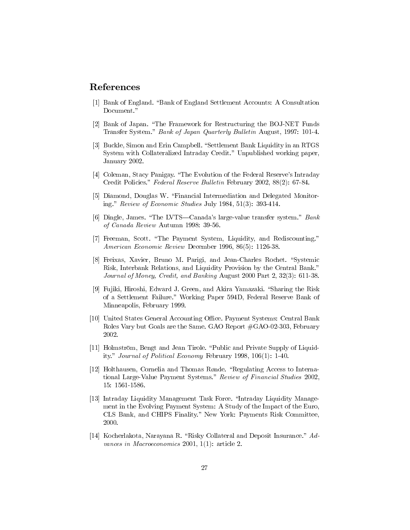### References

- [1] Bank of England. "Bank of England Settlement Accounts: A Consultation Document."
- [2] Bank of Japan. "The Framework for Restructuring the BOJ-NET Funds Transfer System." Bank of Japan Quarterly Bulletin August, 1997: 101-4.
- [3] Buckle, Simon and Erin Campbell. "Settlement Bank Liquidity in an RTGS System with Collateralized Intraday Credit." Unpublished working paper, January 2002.
- [4] Coleman, Stacy Panigay. "The Evolution of the Federal Reserve's Intraday Credit Policies." Federal Reserve Bulletin February 2002, 88(2): 67-84.
- [5] Diamond, Douglas W. "Financial Intermediation and Delegated Monitoring." Review of Economic Studies July 1984,  $51(3)$ : 393-414.
- [6] Dingle, James. "The LVTS—Canada's large-value transfer system." Bank of Canada Review Autumn 1998: 39-56.
- [7] Freeman, Scott. "The Payment System, Liquidity, and Rediscounting." American Economic Review December 1996, 86(5): 1126-38.
- [8] Freixas, Xavier, Bruno M. Parigi, and Jean-Charles Rochet. "Systemic Risk, Interbank Relations, and Liquidity Provision by the Central Bank." Journal of Money, Credit, and Banking August 2000 Part 2, 32(3): 611-38.
- [9] Fujiki, Hiroshi, Edward J. Green, and Akira Yamazaki. "Sharing the Risk of a Settlement Failure." Working Paper 594D, Federal Reserve Bank of Minneapolis, February 1999.
- [10] United States General Accounting Office. Payment Systems: Central Bank Roles Vary but Goals are the Same. GAO Report #GAO-02-303, February 2002.
- [11] Holmström, Bengt and Jean Tirole. "Public and Private Supply of Liquidity." Journal of Political Economy February 1998, 106(1): 1-40.
- [12] Holthausen, Cornelia and Thomas Rønde. "Regulating Access to International Large-Value Payment Systems." Review of Financial Studies 2002, 15: 1561-1586.
- [13] Intraday Liquidity Management Task Force. "Intraday Liquidity Management in the Evolving Payment System: A Study of the Impact of the Euro, CLS Bank, and CHIPS Finality." New York: Payments Risk Committee, 2000.
- [14] Kocherlakota, Narayana R. "Risky Collateral and Deposit Insurance." Advances in Macroeconomics 2001, 1(1): article 2.